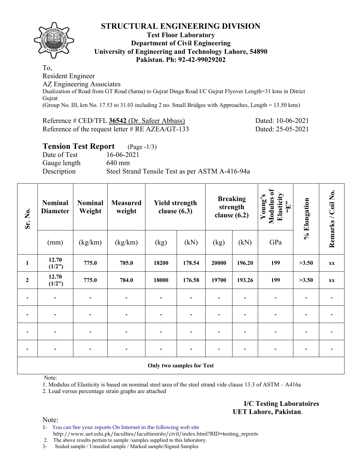

### **Test Floor Laboratory Department of Civil Engineering University of Engineering and Technology Lahore, 54890 Pakistan. Ph: 92-42-99029202**

To, Resident Engineer AZ Engineering Associates Dualization of Road from GT Road (Sama) to Gujrat Dinga Road I/C Gujrat Flyover Length=31 kms in Ditrict Gujrat (Group No. III, km No. 17.53 to 31.03 including 2 no. Small Bridges with Approaches, Length = 13.50 kms)

Reference # CED/TFL **36542** (Dr. Safeer Abbass) Dated: 10-06-2021 Reference of the request letter # RE AZEA/GT-133 Dated: 25-05-2021

# **Tension Test Report** (Page -1/3)

Date of Test 16-06-2021 Gauge length 640 mm Description Steel Strand Tensile Test as per ASTM A-416-94a

| Sr. No.                  | <b>Nominal</b><br><b>Diameter</b> | <b>Nominal</b><br>Weight | <b>Measured</b><br>weight    | <b>Yield strength</b><br>clause $(6.3)$ |                           | clause $(6.2)$ | <b>Breaking</b><br>strength | Modulus of<br>Elasticity<br>Young's<br>$\mathbf{f}$ . | % Elongation | Remarks / Coil No. |
|--------------------------|-----------------------------------|--------------------------|------------------------------|-----------------------------------------|---------------------------|----------------|-----------------------------|-------------------------------------------------------|--------------|--------------------|
|                          | (mm)                              | (kg/km)                  | (kg/km)                      | (kg)                                    | (kN)                      | (kg)           | (kN)                        | GPa                                                   |              |                    |
| $\mathbf{1}$             | 12.70<br>(1/2")                   | 775.0                    | 785.0                        | 18200                                   | 178.54                    | 20000          | 196.20                      | 199                                                   | >3.50        | <b>XX</b>          |
| $\mathbf{2}$             | 12.70<br>(1/2")                   | 775.0                    | 784.0                        | 18000                                   | 176.58                    | 19700          | 193.26                      | 199                                                   | >3.50        | <b>XX</b>          |
| $\overline{\phantom{a}}$ | $\overline{\phantom{a}}$          |                          | $\qquad \qquad \blacksquare$ | $\blacksquare$                          |                           |                |                             | $\overline{\phantom{a}}$                              |              |                    |
|                          |                                   |                          |                              |                                         |                           |                |                             |                                                       |              |                    |
|                          |                                   |                          |                              |                                         |                           |                |                             |                                                       |              |                    |
|                          |                                   |                          | -                            |                                         |                           |                |                             |                                                       |              |                    |
|                          |                                   |                          |                              |                                         | Only two samples for Test |                |                             |                                                       |              |                    |

Note:

1. Modulus of Elasticity is based on nominal steel area of the steel strand vide clause 13.3 of ASTM – A416a

2. Load versus percentage strain graphs are attached

**I/C Testing Laboratoires UET Lahore, Pakistan**.

Note:

1- You can See your reports On Internet in the following web site http://www.uet.edu.pk/faculties/facultiesinfo/civil/index.html?RID=testing\_reports

2. The above results pertain to sample /samples supplied to this laboratory.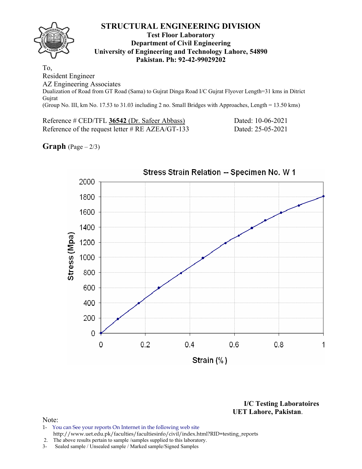

#### **Test Floor Laboratory Department of Civil Engineering University of Engineering and Technology Lahore, 54890 Pakistan. Ph: 92-42-99029202**

To, Resident Engineer AZ Engineering Associates Dualization of Road from GT Road (Sama) to Gujrat Dinga Road I/C Gujrat Flyover Length=31 kms in Ditrict Gujrat (Group No. III, km No. 17.53 to 31.03 including 2 no. Small Bridges with Approaches, Length = 13.50 kms)

Reference # CED/TFL **36542** (Dr. Safeer Abbass) Dated: 10-06-2021 Reference of the request letter # RE AZEA/GT-133 Dated: 25-05-2021

**Graph**  $(Page - 2/3)$ 



**I/C Testing Laboratoires UET Lahore, Pakistan**.

- 1- You can See your reports On Internet in the following web site http://www.uet.edu.pk/faculties/facultiesinfo/civil/index.html?RID=testing\_reports
- 2. The above results pertain to sample /samples supplied to this laboratory.
- 3- Sealed sample / Unsealed sample / Marked sample/Signed Samples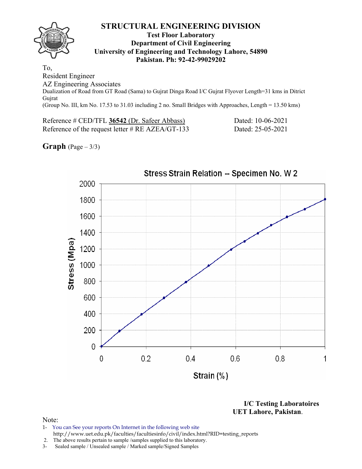

#### **Test Floor Laboratory Department of Civil Engineering University of Engineering and Technology Lahore, 54890 Pakistan. Ph: 92-42-99029202**

To, Resident Engineer AZ Engineering Associates Dualization of Road from GT Road (Sama) to Gujrat Dinga Road I/C Gujrat Flyover Length=31 kms in Ditrict Gujrat (Group No. III, km No. 17.53 to 31.03 including 2 no. Small Bridges with Approaches, Length = 13.50 kms)

Reference # CED/TFL **36542** (Dr. Safeer Abbass) Dated: 10-06-2021 Reference of the request letter # RE AZEA/GT-133 Dated: 25-05-2021

**Graph**  $(Page - 3/3)$ 



**I/C Testing Laboratoires UET Lahore, Pakistan**.

- 1- You can See your reports On Internet in the following web site http://www.uet.edu.pk/faculties/facultiesinfo/civil/index.html?RID=testing\_reports
- 2. The above results pertain to sample /samples supplied to this laboratory.
- 3- Sealed sample / Unsealed sample / Marked sample/Signed Samples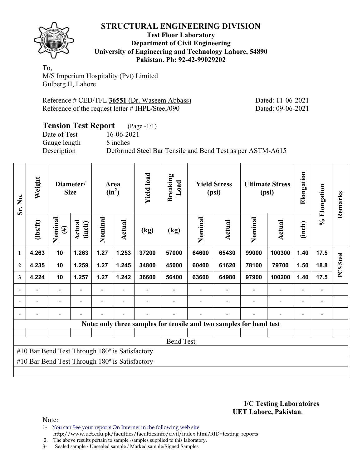

#### **Test Floor Laboratory Department of Civil Engineering University of Engineering and Technology Lahore, 54890 Pakistan. Ph: 92-42-99029202**

To, M/S Imperium Hospitality (Pvt) Limited Gulberg II, Lahore

Reference # CED/TFL **36551** (Dr. Waseem Abbass) Dated: 11-06-2021 Reference of the request letter # IHPL/Steel/090 Dated: 09-06-2021

# **Tension Test Report** (Page -1/1) Date of Test 16-06-2021 Gauge length 8 inches Description Deformed Steel Bar Tensile and Bend Test as per ASTM-A615

| Sr. No.        | Weight                                         |                          | Diameter/<br><b>Size</b> |                          | Area<br>$(in^2)$         | <b>Yield load</b> | <b>Breaking</b><br>Load |         | <b>Yield Stress</b><br>(psi)                                       |         | <b>Ultimate Stress</b><br>(psi) | Elongation | % Elongation             | Remarks      |
|----------------|------------------------------------------------|--------------------------|--------------------------|--------------------------|--------------------------|-------------------|-------------------------|---------|--------------------------------------------------------------------|---------|---------------------------------|------------|--------------------------|--------------|
|                | (1bs/ft)                                       | Nominal<br>$(\#)$        | Actual<br>(inch)         | Nominal                  | Actual                   | (kg)              | (kg)                    | Nominal | Actual                                                             | Nominal | <b>Actual</b>                   | (inch)     |                          |              |
| 1              | 4.263                                          | 10                       | 1.263                    | 1.27                     | 1.253                    | 37200             | 57000                   | 64600   | 65430                                                              | 99000   | 100300                          | 1.40       | 17.5                     | <b>Steel</b> |
| $\mathbf{2}$   | 4.235                                          | 10                       | 1.259                    | 1.27                     | 1.245                    | 34800             | 45000                   | 60400   | 61620                                                              | 78100   | 79700                           | 1.50       | 18.8                     | PCS          |
| 3              | 4.224                                          | 10                       | 1.257                    | 1.27                     | 1.242                    | 36600             | 56400                   | 63600   | 64980                                                              | 97900   | 100200                          | 1.40       | 17.5                     |              |
| $\overline{a}$ | -                                              | $\overline{\phantom{a}}$ |                          |                          |                          |                   |                         |         |                                                                    |         |                                 |            | Ξ.                       |              |
|                | $\overline{\phantom{0}}$                       | $\overline{\phantom{a}}$ |                          | $\overline{\phantom{0}}$ | $\overline{\phantom{0}}$ |                   |                         |         |                                                                    |         |                                 | ۰          | -                        |              |
|                |                                                |                          |                          |                          |                          |                   |                         |         |                                                                    |         |                                 |            | $\overline{\phantom{0}}$ |              |
|                |                                                |                          |                          |                          |                          |                   |                         |         | Note: only three samples for tensile and two samples for bend test |         |                                 |            |                          |              |
|                |                                                |                          |                          |                          |                          |                   |                         |         |                                                                    |         |                                 |            |                          |              |
|                |                                                |                          |                          |                          |                          |                   | <b>Bend Test</b>        |         |                                                                    |         |                                 |            |                          |              |
|                | #10 Bar Bend Test Through 180° is Satisfactory |                          |                          |                          |                          |                   |                         |         |                                                                    |         |                                 |            |                          |              |
|                | #10 Bar Bend Test Through 180° is Satisfactory |                          |                          |                          |                          |                   |                         |         |                                                                    |         |                                 |            |                          |              |
|                |                                                |                          |                          |                          |                          |                   |                         |         |                                                                    |         |                                 |            |                          |              |

#### **I/C Testing Laboratoires UET Lahore, Pakistan**.

Note:

1- You can See your reports On Internet in the following web site http://www.uet.edu.pk/faculties/facultiesinfo/civil/index.html?RID=testing\_reports

2. The above results pertain to sample /samples supplied to this laboratory.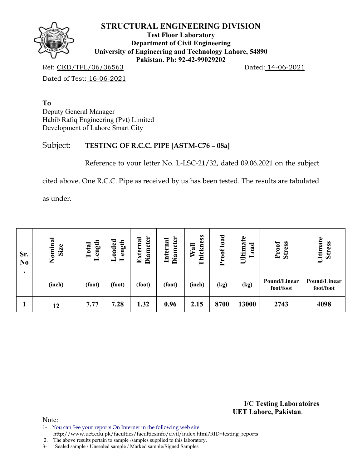

**Test Floor Laboratory Department of Civil Engineering University of Engineering and Technology Lahore, 54890 Pakistan. Ph: 92-42-99029202** 

Ref: CED/TFL/06/36563 Dated: 14-06-2021

Dated of Test: 16-06-2021

**To**  Deputy General Manager Habib Rafiq Engineering (Pvt) Limited Development of Lahore Smart City

## Subject: **TESTING OF R.C.C. PIPE [ASTM-C76 – 08a]**

Reference to your letter No. L-LSC-21/32, dated 09.06.2021 on the subject

cited above. One R.C.C. Pipe as received by us has been tested. The results are tabulated

as under.

| Sr.<br>N <sub>0</sub> | Nominal<br>Size | ength<br>Total<br>_ | oaded<br>ength<br>╺ | <b>Diameter</b><br>xternal<br>$\mathbf{E}$ | Diameter<br>Internal | hickness<br>픦<br>≷<br>⊨ | load<br>Proof | Ultimate<br>oad<br>━ | Proof<br><b>Stress</b>    | Ultimate<br><b>Stress</b> |  |
|-----------------------|-----------------|---------------------|---------------------|--------------------------------------------|----------------------|-------------------------|---------------|----------------------|---------------------------|---------------------------|--|
|                       | (inch)          | (foot)              | (foot)              | (foot)                                     | (foot)               | (inch)                  | (kg)          | (kg)                 | Pound/Linear<br>foot/foot | Pound/Linear<br>foot/foot |  |
|                       | 12              | 7.77                | 7.28                | 1.32                                       | 0.96                 | 2.15                    | 8700          | 13000                | 2743                      | 4098                      |  |

**I/C Testing Laboratoires UET Lahore, Pakistan**.

Note:

1- You can See your reports On Internet in the following web site http://www.uet.edu.pk/faculties/facultiesinfo/civil/index.html?RID=testing\_reports

2. The above results pertain to sample /samples supplied to this laboratory.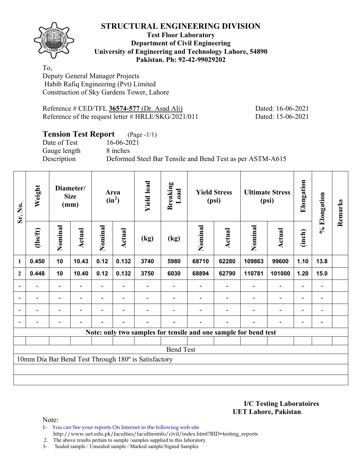

## **Test Floor Laboratory Department of Civil Engineering University of Engineering and Technology Lahore, 54890 Pakistan. Ph: 92-42-99029202**

To, Deputy General Manager Projects Habib Rafiq Engineering (Pvt) Limited Construction of Sky Gardens Tower, Lahore

Reference # CED/TFL **36574-577** (Dr. Asad Ali) Dated: 16-06-2021 Reference of the request letter # HRLE/SKG/2021/011 Dated: 15-06-2021

# **Tension Test Report** (Page -1/1)

Date of Test 16-06-2021 Gauge length 8 inches

Description Deformed Steel Bar Tensile and Bend Test as per ASTM-A615

| Sr. No.        | Weight                                              |                          | Diameter/<br><b>Size</b><br>(mm) |                          | Area<br>$(in^2)$         | <b>Yield load</b> | <b>Breaking</b><br>Load |         | <b>Yield Stress</b><br>(psi) |                                                                 | <b>Ultimate Stress</b><br>(psi) | Elongation               | % Elongation   | Remarks |
|----------------|-----------------------------------------------------|--------------------------|----------------------------------|--------------------------|--------------------------|-------------------|-------------------------|---------|------------------------------|-----------------------------------------------------------------|---------------------------------|--------------------------|----------------|---------|
|                | (1bs/ft)                                            | Nominal                  | Actual                           | Nominal                  | Actual                   | (kg)              | (kg)                    | Nominal | Actual                       | Nominal                                                         | Actual                          | (inch)                   |                |         |
| 1              | 0.450                                               | 10                       | 10.43                            | 0.12                     | 0.132                    | 3740              | 5980                    | 68710   | 62280                        | 109863                                                          | 99600                           | 1.10                     | 13.8           |         |
| $\mathbf{2}$   | 0.448                                               | 10                       | 10.40                            | 0.12                     | 0.132                    | 3750              | 6030                    | 68894   | 62790                        | 110781                                                          | 101000                          | 1.20                     | 15.0           |         |
|                |                                                     | $\overline{a}$           |                                  |                          |                          |                   |                         |         |                              |                                                                 | $\overline{\phantom{0}}$        | -                        |                |         |
| $\blacksquare$ | Ξ.                                                  | $\overline{\phantom{a}}$ | $\overline{\phantom{a}}$         | Ξ.                       | $\blacksquare$           |                   |                         |         | $\overline{\phantom{a}}$     | $\blacksquare$                                                  | $\overline{\phantom{a}}$        | $\overline{\phantom{a}}$ | $\blacksquare$ |         |
|                | Ξ.                                                  | $\overline{\phantom{0}}$ | ۰                                | $\blacksquare$           | $\overline{\phantom{0}}$ |                   |                         |         | ۰                            | $\blacksquare$                                                  | $\overline{\phantom{a}}$        | $\overline{\phantom{a}}$ | $\blacksquare$ |         |
| $\blacksquare$ |                                                     | $\overline{\phantom{0}}$ | $\blacksquare$                   | $\overline{\phantom{0}}$ | $\blacksquare$           |                   |                         |         | $\overline{\phantom{0}}$     | $\overline{\phantom{0}}$                                        | $\overline{a}$                  | $\overline{\phantom{0}}$ |                |         |
|                |                                                     |                          |                                  |                          |                          |                   |                         |         |                              | Note: only two samples for tensile and one sample for bend test |                                 |                          |                |         |
|                |                                                     |                          |                                  |                          |                          |                   |                         |         |                              |                                                                 |                                 |                          |                |         |
|                |                                                     |                          |                                  |                          |                          |                   | <b>Bend Test</b>        |         |                              |                                                                 |                                 |                          |                |         |
|                | 10mm Dia Bar Bend Test Through 180° is Satisfactory |                          |                                  |                          |                          |                   |                         |         |                              |                                                                 |                                 |                          |                |         |
|                |                                                     |                          |                                  |                          |                          |                   |                         |         |                              |                                                                 |                                 |                          |                |         |
|                |                                                     |                          |                                  |                          |                          |                   |                         |         |                              |                                                                 |                                 |                          |                |         |

**I/C Testing Laboratoires UET Lahore, Pakistan**.

Note:

1- You can See your reports On Internet in the following web site http://www.uet.edu.pk/faculties/facultiesinfo/civil/index.html?RID=testing\_reports

2. The above results pertain to sample /samples supplied to this laboratory.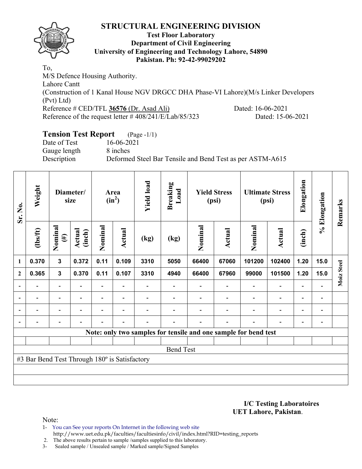

#### **Test Floor Laboratory Department of Civil Engineering University of Engineering and Technology Lahore, 54890 Pakistan. Ph: 92-42-99029202**

To, M/S Defence Housing Authority. Lahore Cantt (Construction of 1 Kanal House NGV DRGCC DHA Phase-VI Lahore)(M/s Linker Developers (Pvt) Ltd) Reference # CED/TFL **36576** (Dr. Asad Ali) Dated: 16-06-2021 Reference of the request letter # 408/241/E/Lab/85/323 Dated: 15-06-2021

# **Tension Test Report** (Page -1/1)

Date of Test 16-06-2021 Gauge length 8 inches

Description Deformed Steel Bar Tensile and Bend Test as per ASTM-A615

| Sr. No.                  | Weight                                        |                          | Diameter/<br>size |                          | Area<br>$(in^2)$         | <b>Yield load</b>        | <b>Breaking</b><br>Load |         | <b>Yield Stress</b><br>(psi) |                                                                 | <b>Ultimate Stress</b><br>(psi) | Elongation               | % Elongation                 | Remarks    |
|--------------------------|-----------------------------------------------|--------------------------|-------------------|--------------------------|--------------------------|--------------------------|-------------------------|---------|------------------------------|-----------------------------------------------------------------|---------------------------------|--------------------------|------------------------------|------------|
|                          | $\frac{2}{10}$                                | Nominal<br>$(\#)$        | Actual<br>(inch)  | Nominal                  | <b>Actual</b>            | (kg)                     | (kg)                    | Nominal | Actual                       | Nominal                                                         | Actual                          | (inch)                   |                              |            |
| $\mathbf{1}$             | 0.370                                         | 3                        | 0.372             | 0.11                     | 0.109                    | 3310                     | 5050                    | 66400   | 67060                        | 101200                                                          | 102400                          | 1.20                     | 15.0                         |            |
| $\mathbf{2}$             | 0.365                                         | $\mathbf{3}$             | 0.370             | 0.11                     | 0.107                    | 3310                     | 4940                    | 66400   | 67960                        | 99000                                                           | 101500                          | 1.20                     | 15.0                         | Moiz Steel |
|                          |                                               | $\overline{\phantom{0}}$ |                   |                          |                          |                          |                         |         |                              |                                                                 |                                 |                          |                              |            |
| $\overline{\phantom{a}}$ | $\overline{\phantom{a}}$                      | $\blacksquare$           | $\blacksquare$    | $\overline{\phantom{0}}$ | $\overline{\phantom{a}}$ |                          |                         |         |                              |                                                                 | $\overline{\phantom{a}}$        | $\overline{\phantom{a}}$ | $\overline{\phantom{a}}$     |            |
| $\overline{\phantom{0}}$ | $\overline{\phantom{0}}$                      | Ξ.                       |                   | $\overline{\phantom{0}}$ | $\overline{\phantom{0}}$ |                          |                         |         |                              |                                                                 | $\overline{\phantom{0}}$        | $\overline{\phantom{a}}$ | $\qquad \qquad \blacksquare$ |            |
| $\overline{\phantom{0}}$ | -                                             | $\overline{\phantom{0}}$ |                   | $\overline{\phantom{0}}$ | $\blacksquare$           | $\overline{\phantom{0}}$ |                         |         | $\overline{\phantom{0}}$     |                                                                 | $\overline{\phantom{0}}$        | $\overline{\phantom{0}}$ | $\qquad \qquad \blacksquare$ |            |
|                          |                                               |                          |                   |                          |                          |                          |                         |         |                              | Note: only two samples for tensile and one sample for bend test |                                 |                          |                              |            |
|                          |                                               |                          |                   |                          |                          |                          |                         |         |                              |                                                                 |                                 |                          |                              |            |
|                          |                                               |                          |                   |                          |                          |                          | <b>Bend Test</b>        |         |                              |                                                                 |                                 |                          |                              |            |
|                          | #3 Bar Bend Test Through 180° is Satisfactory |                          |                   |                          |                          |                          |                         |         |                              |                                                                 |                                 |                          |                              |            |
|                          |                                               |                          |                   |                          |                          |                          |                         |         |                              |                                                                 |                                 |                          |                              |            |
|                          |                                               |                          |                   |                          |                          |                          |                         |         |                              |                                                                 |                                 |                          |                              |            |

**I/C Testing Laboratoires UET Lahore, Pakistan**.

- 1- You can See your reports On Internet in the following web site http://www.uet.edu.pk/faculties/facultiesinfo/civil/index.html?RID=testing\_reports
- 2. The above results pertain to sample /samples supplied to this laboratory.
- 3- Sealed sample / Unsealed sample / Marked sample/Signed Samples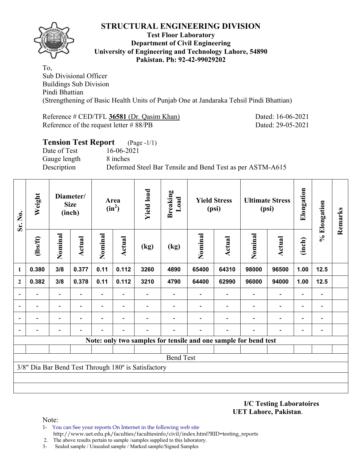

#### **Test Floor Laboratory Department of Civil Engineering University of Engineering and Technology Lahore, 54890 Pakistan. Ph: 92-42-99029202**

To, Sub Divisional Officer Buildings Sub Division Pindi Bhattian (Strengthening of Basic Health Units of Punjab One at Jandaraka Tehsil Pindi Bhattian)

Reference # CED/TFL 36581 (Dr. Qasim Khan) Dated: 16-06-2021 Reference of the request letter # 88/PB Dated: 29-05-2021

| <b>Tension Test Report</b> | $(Page - 1/1)$                                            |
|----------------------------|-----------------------------------------------------------|
| Date of Test               | 16-06-2021                                                |
| Gauge length               | 8 inches                                                  |
| Description                | Deformed Steel Bar Tensile and Bend Test as per ASTM-A615 |
|                            |                                                           |

| Sr. No.      | Weight                   |                          | Diameter/<br><b>Size</b><br>(inch) |                          | Area<br>$(in^2)$         | <b>Yield load</b>                                   | <b>Breaking</b><br>Load |                                                                 | <b>Yield Stress</b><br>(psi) |                          | <b>Ultimate Stress</b><br>(psi) | Elongation               | % Elongation             | Remarks |
|--------------|--------------------------|--------------------------|------------------------------------|--------------------------|--------------------------|-----------------------------------------------------|-------------------------|-----------------------------------------------------------------|------------------------------|--------------------------|---------------------------------|--------------------------|--------------------------|---------|
|              | $lbsft$                  | Nominal                  | <b>Actual</b>                      | Nominal                  | Actual                   | (kg)                                                | (kg)                    | Nominal                                                         | Actual                       | Nominal                  | <b>Actual</b>                   | (inch)                   |                          |         |
| $\mathbf{1}$ | 0.380                    | 3/8                      | 0.377                              | 0.11                     | 0.112                    | 3260                                                | 4890                    | 65400                                                           | 64310                        | 98000                    | 96500                           | 1.00                     | $12.5$                   |         |
| $\mathbf{2}$ | 0.382                    | 3/8                      | 0.378                              | 0.11                     | 0.112                    | 3210                                                | 4790                    | 64400                                                           | 62990                        | 96000                    | 94000                           | 1.00                     | 12.5                     |         |
|              | $\overline{\phantom{0}}$ | $\overline{\phantom{a}}$ |                                    | $\overline{\phantom{0}}$ | $\overline{\phantom{0}}$ |                                                     |                         |                                                                 |                              | $\overline{\phantom{a}}$ | $\overline{\phantom{0}}$        | $\overline{\phantom{a}}$ | $\overline{\phantom{0}}$ |         |
|              | $\overline{\phantom{0}}$ | $\overline{\phantom{a}}$ |                                    | $\overline{\phantom{0}}$ | $\overline{\phantom{0}}$ |                                                     |                         |                                                                 |                              | $\overline{\phantom{0}}$ | $\overline{\phantom{a}}$        | $\overline{\phantom{a}}$ | $\overline{\phantom{a}}$ |         |
|              |                          |                          |                                    |                          |                          |                                                     |                         |                                                                 |                              |                          | $\qquad \qquad -$               | -                        | -                        |         |
|              |                          |                          |                                    |                          |                          |                                                     |                         |                                                                 |                              |                          |                                 | $\overline{\phantom{0}}$ |                          |         |
|              |                          |                          |                                    |                          |                          |                                                     |                         | Note: only two samples for tensile and one sample for bend test |                              |                          |                                 |                          |                          |         |
|              |                          |                          |                                    |                          |                          |                                                     |                         |                                                                 |                              |                          |                                 |                          |                          |         |
|              |                          |                          |                                    |                          |                          |                                                     | <b>Bend Test</b>        |                                                                 |                              |                          |                                 |                          |                          |         |
|              |                          |                          |                                    |                          |                          | 3/8" Dia Bar Bend Test Through 180° is Satisfactory |                         |                                                                 |                              |                          |                                 |                          |                          |         |
|              |                          |                          |                                    |                          |                          |                                                     |                         |                                                                 |                              |                          |                                 |                          |                          |         |
|              |                          |                          |                                    |                          |                          |                                                     |                         |                                                                 |                              |                          |                                 |                          |                          |         |

**I/C Testing Laboratoires UET Lahore, Pakistan**.

- 1- You can See your reports On Internet in the following web site http://www.uet.edu.pk/faculties/facultiesinfo/civil/index.html?RID=testing\_reports
- 2. The above results pertain to sample /samples supplied to this laboratory.
- 3- Sealed sample / Unsealed sample / Marked sample/Signed Samples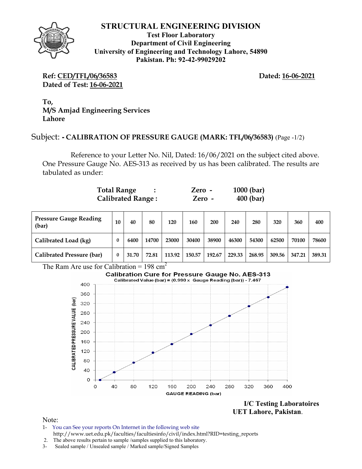**Test Floor Laboratory Department of Civil Engineering University of Engineering and Technology Lahore, 54890 Pakistan. Ph: 92-42-99029202** 

**Ref: CED/TFL/06/36583 Dated: 16-06-2021 Dated of Test: 16-06-2021**

**To, M/S Amjad Engineering Services Lahore** 

# Subject: **- CALIBRATION OF PRESSURE GAUGE (MARK: TFL/06/36583)** (Page -1/2)

Reference to your Letter No. Nil, Dated: 16/06/2021 on the subject cited above. One Pressure Gauge No. AES-313 as received by us has been calibrated. The results are tabulated as under:

| <b>Total Range</b>       | Zero - | $1000$ (bar) |
|--------------------------|--------|--------------|
| <b>Calibrated Range:</b> | Zero - | $400$ (bar)  |

| <b>Pressure Gauge Reading</b><br>(bar) | 10 | 40    | 80    | 120    | 160    | 200    | 240    | 280    | 320    | 360    | 400    |
|----------------------------------------|----|-------|-------|--------|--------|--------|--------|--------|--------|--------|--------|
| Calibrated Load (kg)                   |    | 6400  | 14700 | 23000  | 30400  | 38900  | 46300  | 54300  | 62500  | 70100  | 78600  |
| Calibrated Pressure (bar)              |    | 31.70 | 72.81 | 113.92 | 150.57 | 192.67 | 229.33 | 268.95 | 309.56 | 347.21 | 389.31 |

The Ram Are use for Calibration =  $198 \text{ cm}^2$ 



**UET Lahore, Pakistan**.

- 1- You can See your reports On Internet in the following web site http://www.uet.edu.pk/faculties/facultiesinfo/civil/index.html?RID=testing\_reports
- 2. The above results pertain to sample /samples supplied to this laboratory.
- 3- Sealed sample / Unsealed sample / Marked sample/Signed Samples